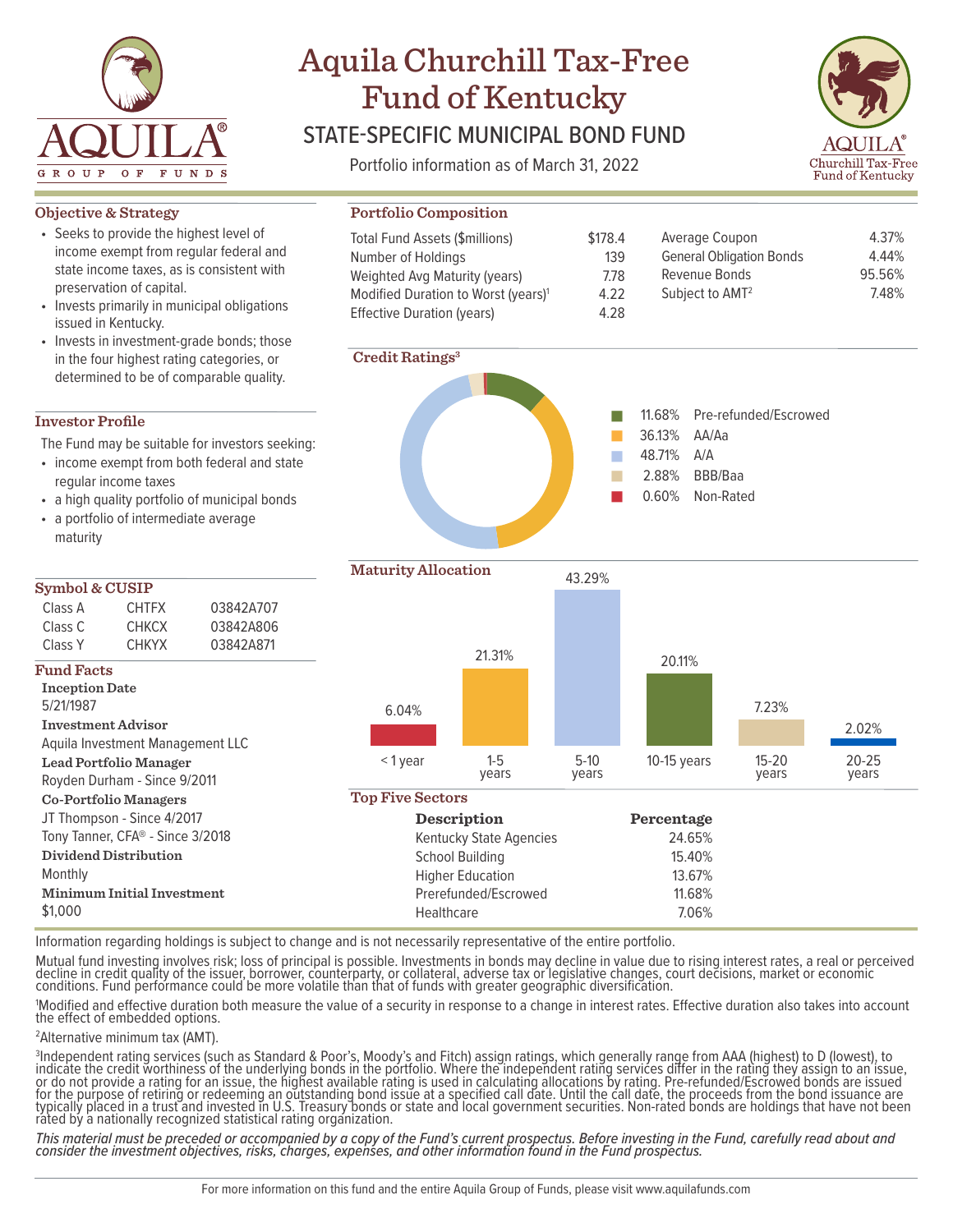

# Aquila Churchill Tax-Free Fund of Kentucky

## STATE-SPECIFIC MUNICIPAL BOND FUND

Portfolio information as of March 31, 2022

**Portfolio Composition** Total Fund Assets (\$millions) Number of Holdings

Weighted Avg Maturity (years) Modified Duration to Worst (years)<sup>1</sup>

Effective Duration (years)



4.37% 4.44% 95.56% 7.48%

### **Objective & Strategy**

- Seeks to provide the highest level of income exempt from regular federal and state income taxes, as is consistent with preservation of capital.
- Invests primarily in municipal obligations issued in Kentucky.
- Invests in investment-grade bonds; those in the four highest rating categories, or determined to be of comparable quality.

#### **Investor Profile**

The Fund may be suitable for investors seeking:

- income exempt from both federal and state regular income taxes
- a high quality portfolio of municipal bonds
- a portfolio of intermediate average maturity

| Symbol & CUSIP     |              |           |  |  |  |  |  |  |  |  |
|--------------------|--------------|-----------|--|--|--|--|--|--|--|--|
| Class A            | <b>CHTFX</b> | 038424707 |  |  |  |  |  |  |  |  |
| Class C            | <b>CHKCX</b> | 03842A806 |  |  |  |  |  |  |  |  |
| Class <sub>Y</sub> | <b>CHKYX</b> | 03842A871 |  |  |  |  |  |  |  |  |

#### **Fund Facts**

| <b>Inception Date</b>             |
|-----------------------------------|
|                                   |
| 5/21/1987                         |
| <b>Investment Advisor</b>         |
| Aquila Investment Management LLC  |
| Lead Portfolio Manager            |
| Royden Durham - Since 9/2011      |
| Co-Portfolio Managers             |
| JT Thompson - Since 4/2017        |
| Tony Tanner, CFA® - Since 3/2018  |
| Dividend Distribution             |
| Monthly                           |
| <b>Minimum Initial Investment</b> |
| \$1.000                           |



**Maturity Allocation** 6.04% 21.31% 43.29% 20.11% 7.23%  $<$  1 year 1-5 years 5-10 years 10-15 years 15-20 years 2.02% 20-25 years

Average Coupon General Obligation Bonds

\$178.4 139 7.78 4.22 4.28

Revenue Bonds Subject to AMT2

> AA/Aa A/A BBB/Baa Non-Rated

Pre-refunded/Escrowed

#### **Top Five Sectors**

| Managers                    | Top Five Sectors               |            |  |
|-----------------------------|--------------------------------|------------|--|
| - Since 4/2017              | <b>Description</b>             | Percentage |  |
| CFA® - Since 3/2018         | <b>Kentucky State Agencies</b> | 24.65%     |  |
| $\operatorname{stribution}$ | School Building                | 15.40%     |  |
|                             | <b>Higher Education</b>        | 13.67%     |  |
| itial Investment            | Prerefunded/Escrowed           | 11.68%     |  |
|                             | <b>Healthcare</b>              | 7.06%      |  |

Information regarding holdings is subject to change and is not necessarily representative of the entire portfolio.

Mutual fund investing involves risk; loss of principal is possible. Investments in bonds may decline in value due to rising interest rates, a real or perceived decline in credit quality of the issuer, borrower, counterparty, or collateral, adverse tax or legislative changes, court decisions, market or economic conditions. Fund performance could be more volatile than that of funds with greater geographic diversification.

1 Modified and effective duration both measure the value of a security in response to a change in interest rates. Effective duration also takes into account the effect of embedded options.

2 Alternative minimum tax (AMT).

3 Independent rating services (such as Standard & Poor's, Moody's and Fitch) assign ratings, which generally range from AAA (highest) to D (lowest), to indicate the credit worthiness of the underlying bonds in the portfolio. Where the independent rating services differ in the rating they assign to an issue, or do not provide a rating for an issue, the highest available rating is used in calculating allocations by rating. Pre-refunded/Escrowed bonds are issued for the purpose of retiring or redeeming an outstanding bond issue at a specified call date. Until the call date, the proceeds from the bond issuance are typically placed in a trust and invested in U.S. Treasury bonds or state and local government securities. Non-rated bonds are holdings that have not been rated by a nationally recognized statistical rating organization.

This material must be preceded or accompanied by a copy of the Fund's current prospectus. Before investing in the Fund, carefully read about and<br>consider the investment objectives, risks, charges, expenses, and other infor